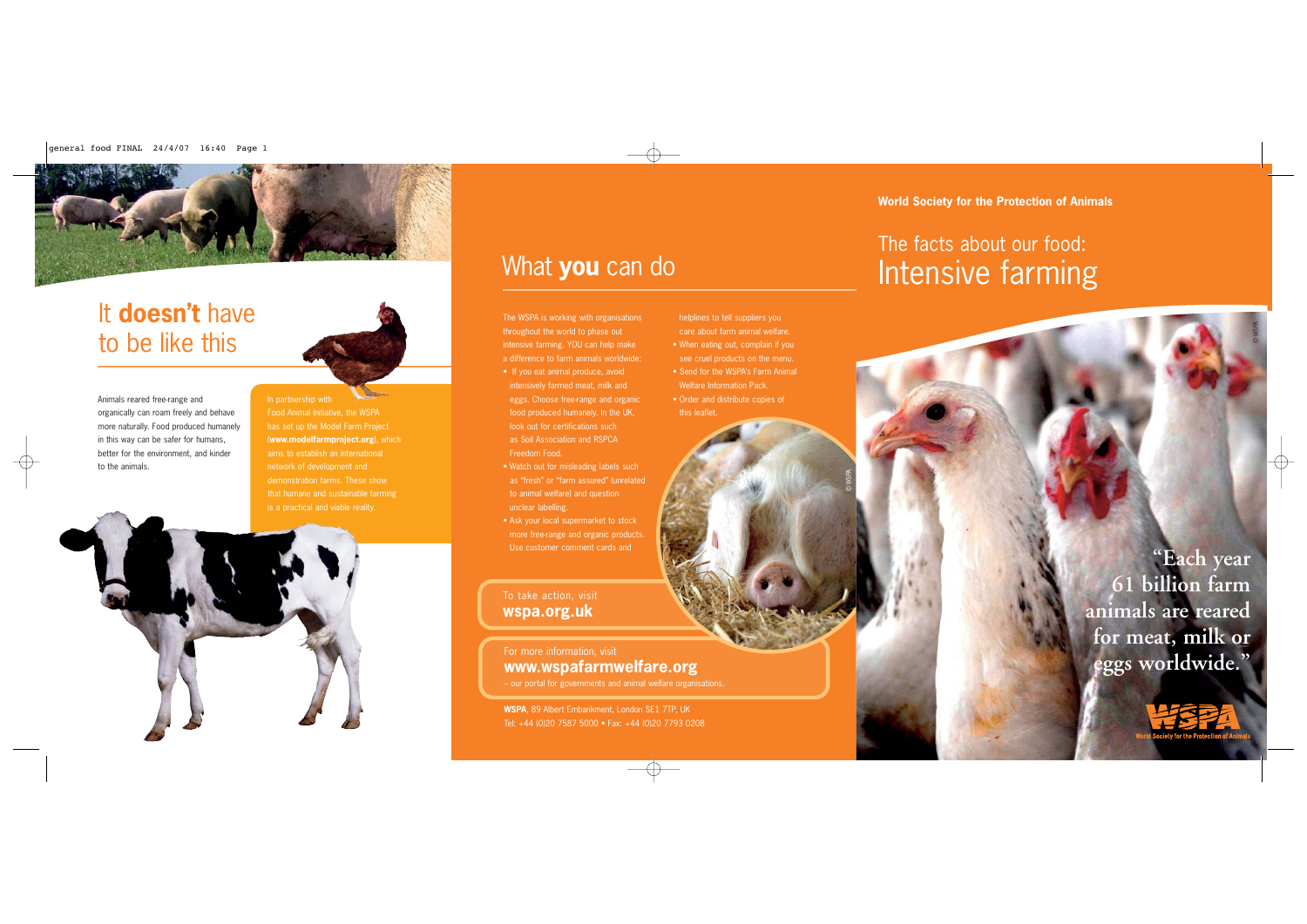

# It **doesn't** have to be like this

Animals reared free-range and organically can roam freely and behave more naturally. Food produced humanely in this way can be safer for humans, better for the environment, and kinder to the animals.

In partnership with Food Animal Initiative, the WSPA has set up the Model Farm Project (**www.modelfarmproject.org**), which aims to establish an international network of development and demonstration farms. These show that humane and sustainable farming is a practical and viable reality.

## What **you** can do

helplines to tell suppliers you care about farm animal welfare. • When eating out, complain if you see cruel products on the menu. • Send for the WSPA's Farm Animal Welfare Information Pack. • Order and distribute copies of

© WSPA

this leaflet.

The WSPA is working with organisations throughout the world to phase out intensive farming. YOU can help make a difference to farm animals worldwide:

- If you eat animal produce, avoid intensively farmed meat, milk and eggs. Choose free-range and organic food produced humanely. In the UK, look out for certifications such as Soil Association and RSPCA Freedom Food.
- Watch out for misleading labels such as "fresh" or "farm assured" (unrelated to animal welfare) and question unclear labelling.
- Ask your local supermarket to stock more free-range and organic products. Use customer comment cards and

To take action, visit **wspa.org.uk**

For more information, visit **www.wspafarmwelfare.org** – our portal for governments and animal welfare organisations.

**WSPA**, 89 Albert Embankment, London SE1 7TP, UK Tel: +44 (0)20 7587 5000 • Fax: +44 (0)20 7793 0208 **World Society for the Protection of Animals**

## Intensive farming The facts about our food:

**"Each year 61 billion farm animals are reared for meat, milk or eggs worldwide."**

© WSPA